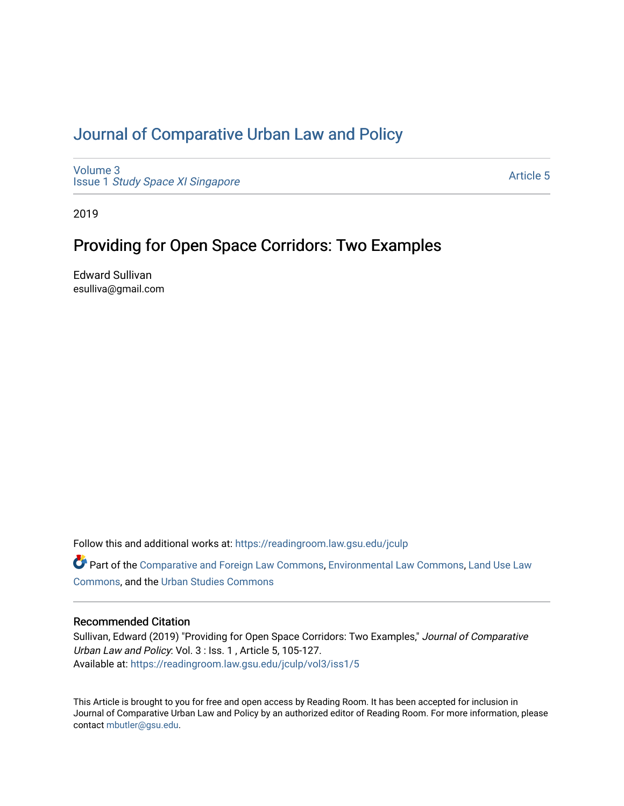# [Journal of Comparative Urban Law and Policy](https://readingroom.law.gsu.edu/jculp)

[Volume 3](https://readingroom.law.gsu.edu/jculp/vol3) Issue 1 [Study Space XI Singapore](https://readingroom.law.gsu.edu/jculp/vol3/iss1)

[Article 5](https://readingroom.law.gsu.edu/jculp/vol3/iss1/5) 

2019

# Providing for Open Space Corridors: Two Examples

Edward Sullivan esulliva@gmail.com

Follow this and additional works at: [https://readingroom.law.gsu.edu/jculp](https://readingroom.law.gsu.edu/jculp?utm_source=readingroom.law.gsu.edu%2Fjculp%2Fvol3%2Fiss1%2F5&utm_medium=PDF&utm_campaign=PDFCoverPages) 

Part of the [Comparative and Foreign Law Commons,](http://network.bepress.com/hgg/discipline/836?utm_source=readingroom.law.gsu.edu%2Fjculp%2Fvol3%2Fiss1%2F5&utm_medium=PDF&utm_campaign=PDFCoverPages) [Environmental Law Commons](http://network.bepress.com/hgg/discipline/599?utm_source=readingroom.law.gsu.edu%2Fjculp%2Fvol3%2Fiss1%2F5&utm_medium=PDF&utm_campaign=PDFCoverPages), Land Use Law [Commons](http://network.bepress.com/hgg/discipline/852?utm_source=readingroom.law.gsu.edu%2Fjculp%2Fvol3%2Fiss1%2F5&utm_medium=PDF&utm_campaign=PDFCoverPages), and the [Urban Studies Commons](http://network.bepress.com/hgg/discipline/402?utm_source=readingroom.law.gsu.edu%2Fjculp%2Fvol3%2Fiss1%2F5&utm_medium=PDF&utm_campaign=PDFCoverPages) 

## Recommended Citation

Sullivan, Edward (2019) "Providing for Open Space Corridors: Two Examples," Journal of Comparative Urban Law and Policy: Vol. 3 : Iss. 1 , Article 5, 105-127. Available at: [https://readingroom.law.gsu.edu/jculp/vol3/iss1/5](https://readingroom.law.gsu.edu/jculp/vol3/iss1/5?utm_source=readingroom.law.gsu.edu%2Fjculp%2Fvol3%2Fiss1%2F5&utm_medium=PDF&utm_campaign=PDFCoverPages) 

This Article is brought to you for free and open access by Reading Room. It has been accepted for inclusion in Journal of Comparative Urban Law and Policy by an authorized editor of Reading Room. For more information, please contact [mbutler@gsu.edu](mailto:mbutler@gsu.edu).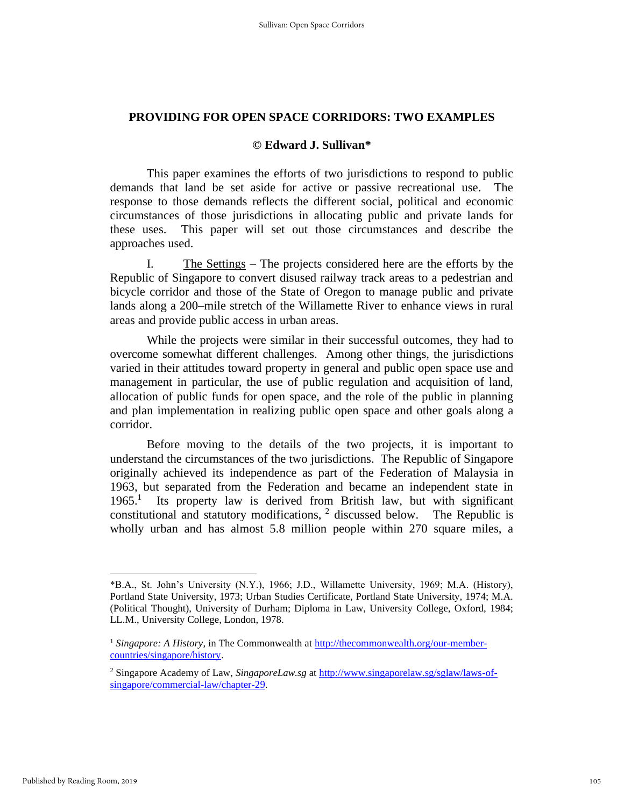### **PROVIDING FOR OPEN SPACE CORRIDORS: TWO EXAMPLES**

#### **© Edward J. Sullivan\***

This paper examines the efforts of two jurisdictions to respond to public demands that land be set aside for active or passive recreational use. The response to those demands reflects the different social, political and economic circumstances of those jurisdictions in allocating public and private lands for these uses. This paper will set out those circumstances and describe the approaches used.

I. The Settings – The projects considered here are the efforts by the Republic of Singapore to convert disused railway track areas to a pedestrian and bicycle corridor and those of the State of Oregon to manage public and private lands along a 200–mile stretch of the Willamette River to enhance views in rural areas and provide public access in urban areas.

While the projects were similar in their successful outcomes, they had to overcome somewhat different challenges. Among other things, the jurisdictions varied in their attitudes toward property in general and public open space use and management in particular, the use of public regulation and acquisition of land, allocation of public funds for open space, and the role of the public in planning and plan implementation in realizing public open space and other goals along a corridor.

Before moving to the details of the two projects, it is important to understand the circumstances of the two jurisdictions. The Republic of Singapore originally achieved its independence as part of the Federation of Malaysia in 1963, but separated from the Federation and became an independent state in 1965.<sup>1</sup> Its property law is derived from British law, but with significant constitutional and statutory modifications,  $2$  discussed below. The Republic is wholly urban and has almost 5.8 million people within 270 square miles, a

<sup>\*</sup>B.A., St. John's University (N.Y.), 1966; J.D., Willamette University, 1969; M.A. (History), Portland State University, 1973; Urban Studies Certificate, Portland State University, 1974; M.A. (Political Thought), University of Durham; Diploma in Law, University College, Oxford, 1984; LL.M., University College, London, 1978.

<sup>&</sup>lt;sup>1</sup> Singapore: A History, in The Commonwealth a[t http://thecommonwealth.org/our-member](http://thecommonwealth.org/our-member-countries/singapore/history)[countries/singapore/history.](http://thecommonwealth.org/our-member-countries/singapore/history)

<sup>2</sup> Singapore Academy of Law, *SingaporeLaw.sg* at [http://www.singaporelaw.sg/sglaw/laws-of](http://www.singaporelaw.sg/sglaw/laws-of-singapore/commercial-law/chapter-29)[singapore/commercial-law/chapter-29.](http://www.singaporelaw.sg/sglaw/laws-of-singapore/commercial-law/chapter-29)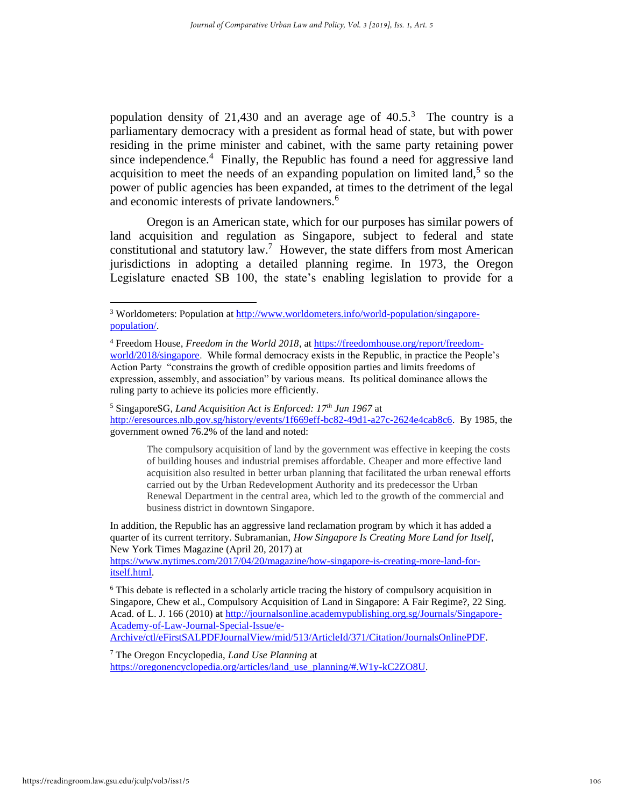population density of 21,430 and an average age of  $40.5<sup>3</sup>$ . The country is a parliamentary democracy with a president as formal head of state, but with power residing in the prime minister and cabinet, with the same party retaining power since independence.<sup>4</sup> Finally, the Republic has found a need for aggressive land acquisition to meet the needs of an expanding population on limited land, $<sup>5</sup>$  so the</sup> power of public agencies has been expanded, at times to the detriment of the legal and economic interests of private landowners.<sup>6</sup>

Oregon is an American state, which for our purposes has similar powers of land acquisition and regulation as Singapore, subject to federal and state constitutional and statutory  $law$ .<sup>7</sup> However, the state differs from most American jurisdictions in adopting a detailed planning regime. In 1973, the Oregon Legislature enacted SB 100, the state's enabling legislation to provide for a

<sup>5</sup> SingaporeSG, *Land Acquisition Act is Enforced: 17th Jun 1967* at [http://eresources.nlb.gov.sg/history/events/1f669eff-bc82-49d1-a27c-2624e4cab8c6.](http://eresources.nlb.gov.sg/history/events/1f669eff-bc82-49d1-a27c-2624e4cab8c6) By 1985, the government owned 76.2% of the land and noted:

The compulsory acquisition of land by the government was effective in keeping the costs of building houses and industrial premises affordable. Cheaper and more effective land acquisition also resulted in better urban planning that facilitated the urban renewal efforts carried out by the Urban Redevelopment Authority and its predecessor the Urban Renewal Department in the central area, which led to the growth of the commercial and business district in downtown Singapore.

In addition, the Republic has an aggressive land reclamation program by which it has added a quarter of its current territory. Subramanian, *How Singapore Is Creating More Land for Itself*, New York Times Magazine (April 20, 2017) at

[https://www.nytimes.com/2017/04/20/magazine/how-singapore-is-creating-more-land-for](https://www.nytimes.com/2017/04/20/magazine/how-singapore-is-creating-more-land-for-itself.html)[itself.html.](https://www.nytimes.com/2017/04/20/magazine/how-singapore-is-creating-more-land-for-itself.html)

<sup>7</sup> The Oregon Encyclopedia, *Land Use Planning* at

[https://oregonencyclopedia.org/articles/land\\_use\\_planning/#.W1y-kC2ZO8U.](https://oregonencyclopedia.org/articles/land_use_planning/#.W1y-kC2ZO8U)

<sup>&</sup>lt;sup>3</sup> Worldometers: Population at [http://www.worldometers.info/world-population/singapore](http://www.worldometers.info/world-population/singapore-population/)[population/.](http://www.worldometers.info/world-population/singapore-population/)

<sup>4</sup> Freedom House, *Freedom in the World 2018*, at [https://freedomhouse.org/report/freedom](https://freedomhouse.org/report/freedom-world/2018/singapore)[world/2018/singapore.](https://freedomhouse.org/report/freedom-world/2018/singapore) While formal democracy exists in the Republic, in practice the People's Action Party "constrains the growth of credible opposition parties and limits freedoms of expression, assembly, and association" by various means. Its political dominance allows the ruling party to achieve its policies more efficiently.

<sup>6</sup> This debate is reflected in a scholarly article tracing the history of compulsory acquisition in Singapore, Chew et al., Compulsory Acquisition of Land in Singapore: A Fair Regime?, 22 Sing. Acad. of L. J. 166 (2010) at [http://journalsonline.academypublishing.org.sg/Journals/Singapore-](http://journalsonline.academypublishing.org.sg/Journals/Singapore-Academy-of-Law-Journal-Special-Issue/e-Archive/ctl/eFirstSALPDFJournalView/mid/513/ArticleId/371/Citation/JournalsOnlinePDF)[Academy-of-Law-Journal-Special-Issue/e-](http://journalsonline.academypublishing.org.sg/Journals/Singapore-Academy-of-Law-Journal-Special-Issue/e-Archive/ctl/eFirstSALPDFJournalView/mid/513/ArticleId/371/Citation/JournalsOnlinePDF)[Archive/ctl/eFirstSALPDFJournalView/mid/513/ArticleId/371/Citation/JournalsOnlinePDF.](http://journalsonline.academypublishing.org.sg/Journals/Singapore-Academy-of-Law-Journal-Special-Issue/e-Archive/ctl/eFirstSALPDFJournalView/mid/513/ArticleId/371/Citation/JournalsOnlinePDF)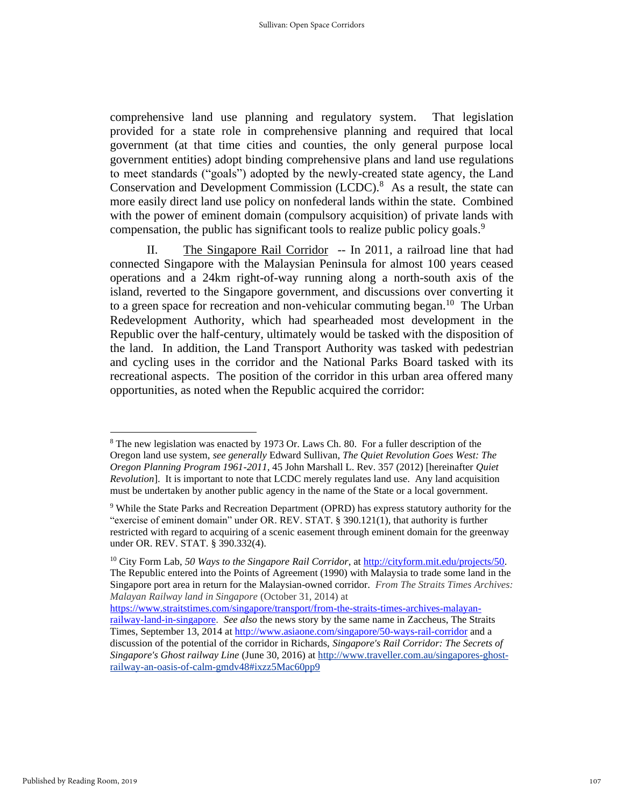comprehensive land use planning and regulatory system. That legislation provided for a state role in comprehensive planning and required that local government (at that time cities and counties, the only general purpose local government entities) adopt binding comprehensive plans and land use regulations to meet standards ("goals") adopted by the newly-created state agency, the Land Conservation and Development Commission (LCDC).<sup>8</sup> As a result, the state can more easily direct land use policy on nonfederal lands within the state. Combined with the power of eminent domain (compulsory acquisition) of private lands with compensation, the public has significant tools to realize public policy goals.<sup>9</sup>

II. The Singapore Rail Corridor -- In 2011, a railroad line that had connected Singapore with the Malaysian Peninsula for almost 100 years ceased operations and a 24km right-of-way running along a north-south axis of the island, reverted to the Singapore government, and discussions over converting it to a green space for recreation and non-vehicular commuting began.<sup>10</sup> The Urban Redevelopment Authority, which had spearheaded most development in the Republic over the half-century, ultimately would be tasked with the disposition of the land. In addition, the Land Transport Authority was tasked with pedestrian and cycling uses in the corridor and the National Parks Board tasked with its recreational aspects. The position of the corridor in this urban area offered many opportunities, as noted when the Republic acquired the corridor:

<sup>8</sup> The new legislation was enacted by 1973 Or. Laws Ch. 80. For a fuller description of the Oregon land use system, *see generally* Edward Sullivan, *The Quiet Revolution Goes West: The Oregon Planning Program 1961-2011,* 45 John Marshall L. Rev. 357 (2012) [hereinafter *Quiet Revolution*]. It is important to note that LCDC merely regulates land use. Any land acquisition must be undertaken by another public agency in the name of the State or a local government.

<sup>9</sup> While the State Parks and Recreation Department (OPRD) has express statutory authority for the "exercise of eminent domain" under OR. REV. STAT. § 390.121(1), that authority is further restricted with regard to acquiring of a scenic easement through eminent domain for the greenway under OR. REV. STAT. § 390.332(4).

<sup>10</sup> City Form Lab, *50 Ways to the Singapore Rail Corridor*, a[t http://cityform.mit.edu/projects/50.](http://cityform.mit.edu/projects/50) The Republic entered into the Points of Agreement (1990) with Malaysia to trade some land in the Singapore port area in return for the Malaysian-owned corridor. *From The Straits Times Archives: Malayan Railway land in Singapore* (October 31, 2014) at

[https://www.straitstimes.com/singapore/transport/from-the-straits-times-archives-malayan](https://www.straitstimes.com/singapore/transport/from-the-straits-times-archives-malayan-railway-land-in-singapore)[railway-land-in-singapore.](https://www.straitstimes.com/singapore/transport/from-the-straits-times-archives-malayan-railway-land-in-singapore) *See also* the news story by the same name in Zaccheus, The Straits Times, September 13, 2014 at<http://www.asiaone.com/singapore/50-ways-rail-corridor> and a discussion of the potential of the corridor in Richards, *Singapore's Rail Corridor: The Secrets of Singapore's Ghost railway Line* (June 30, 2016) at [http://www.traveller.com.au/singapores-ghost](http://www.traveller.com.au/singapores-ghost-railway-an-oasis-of-calm-gmdv48#ixzz5Mac60pp9)[railway-an-oasis-of-calm-gmdv48#ixzz5Mac60pp9](http://www.traveller.com.au/singapores-ghost-railway-an-oasis-of-calm-gmdv48#ixzz5Mac60pp9)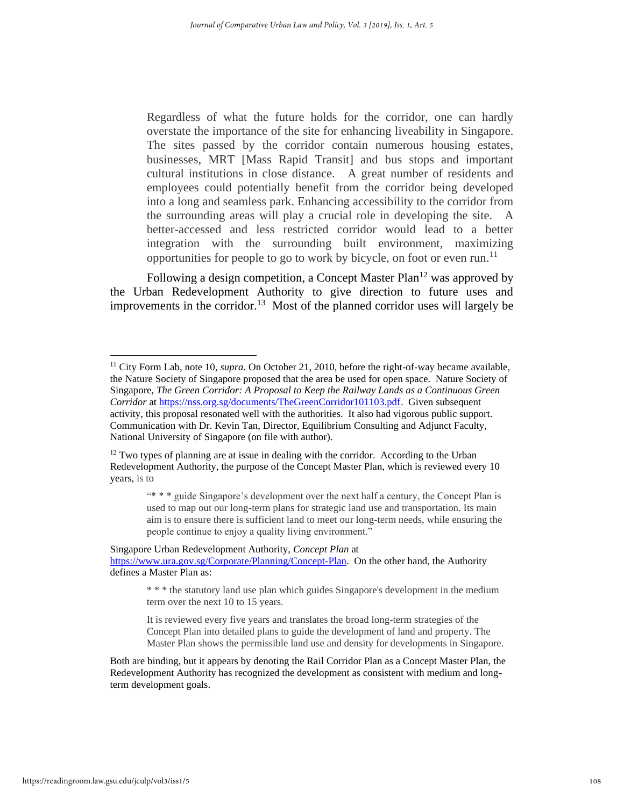Regardless of what the future holds for the corridor, one can hardly overstate the importance of the site for enhancing liveability in Singapore. The sites passed by the corridor contain numerous housing estates, businesses, MRT [Mass Rapid Transit] and bus stops and important cultural institutions in close distance. A great number of residents and employees could potentially benefit from the corridor being developed into a long and seamless park. Enhancing accessibility to the corridor from the surrounding areas will play a crucial role in developing the site. A better-accessed and less restricted corridor would lead to a better integration with the surrounding built environment, maximizing opportunities for people to go to work by bicycle, on foot or even run.<sup>11</sup>

Following a design competition, a Concept Master Plan<sup>12</sup> was approved by the Urban Redevelopment Authority to give direction to future uses and improvements in the corridor.<sup>13</sup> Most of the planned corridor uses will largely be

<sup>11</sup> City Form Lab, note 10, *supra.* On October 21, 2010, before the right-of-way became available, the Nature Society of Singapore proposed that the area be used for open space. Nature Society of Singapore, *The Green Corridor: A Proposal to Keep the Railway Lands as a Continuous Green Corridor* at [https://nss.org.sg/documents/TheGreenCorridor101103.pdf.](https://nss.org.sg/documents/TheGreenCorridor101103.pdf) Given subsequent activity, this proposal resonated well with the authorities. It also had vigorous public support. Communication with Dr. Kevin Tan, Director, Equilibrium Consulting and Adjunct Faculty, National University of Singapore (on file with author).

 $12$  Two types of planning are at issue in dealing with the corridor. According to the Urban Redevelopment Authority, the purpose of the Concept Master Plan, which is reviewed every 10 years, is to

<sup>&</sup>quot;\* \* \* guide Singapore's development over the next half a century, the Concept Plan is used to map out our long-term plans for strategic land use and transportation. Its main aim is to ensure there is sufficient land to meet our long-term needs, while ensuring the people continue to enjoy a quality living environment."

Singapore Urban Redevelopment Authority, *Concept Plan* at [https://www.ura.gov.sg/Corporate/Planning/Concept-Plan.](https://www.ura.gov.sg/Corporate/Planning/Concept-Plan) On the other hand, the Authority defines a Master Plan as:

<sup>\* \* \*</sup> the statutory land use plan which guides Singapore's development in the medium term over the next 10 to 15 years.

It is reviewed every five years and translates the broad long-term strategies of the Concept Plan into detailed plans to guide the development of land and property. The Master Plan shows the permissible land use and density for developments in Singapore.

Both are binding, but it appears by denoting the Rail Corridor Plan as a Concept Master Plan, the Redevelopment Authority has recognized the development as consistent with medium and longterm development goals.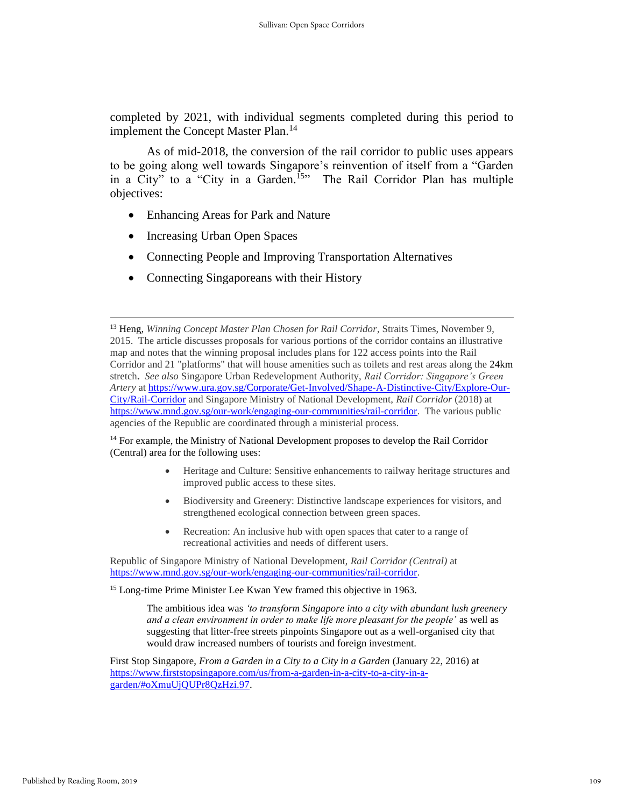completed by 2021, with individual segments completed during this period to implement the Concept Master Plan.<sup>14</sup>

As of mid-2018, the conversion of the rail corridor to public uses appears to be going along well towards Singapore's reinvention of itself from a "Garden in a City" to a "City in a Garden.<sup>15</sup>" The Rail Corridor Plan has multiple objectives:

- Enhancing Areas for Park and Nature
- Increasing Urban Open Spaces
- Connecting People and Improving Transportation Alternatives
- Connecting Singaporeans with their History

<sup>14</sup> For example, the Ministry of National Development proposes to develop the Rail Corridor (Central) area for the following uses:

- Heritage and Culture: Sensitive enhancements to railway heritage structures and improved public access to these sites.
- Biodiversity and Greenery: Distinctive landscape experiences for visitors, and strengthened ecological connection between green spaces.
- Recreation: An inclusive hub with open spaces that cater to a range of recreational activities and needs of different users.

Republic of Singapore Ministry of National Development, *Rail Corridor (Central)* at [https://www.mnd.gov.sg/our-work/engaging-our-communities/rail-corridor.](https://www.mnd.gov.sg/our-work/engaging-our-communities/rail-corridor)

<sup>15</sup> Long-time Prime Minister Lee Kwan Yew framed this objective in 1963.

The ambitious idea was *'to transform Singapore into a city with abundant lush greenery and a clean environment in order to make life more pleasant for the people'* as well as suggesting that litter-free streets pinpoints Singapore out as a well-organised city that would draw increased numbers of tourists and foreign investment.

First Stop Singapore, *From a Garden in a City to a City in a Garden* (January 22, 2016) at [https://www.firststopsingapore.com/us/from-a-garden-in-a-city-to-a-city-in-a](https://www.firststopsingapore.com/us/from-a-garden-in-a-city-to-a-city-in-a-garden/#oXmuUjQUPr8QzHzi.97)[garden/#oXmuUjQUPr8QzHzi.97.](https://www.firststopsingapore.com/us/from-a-garden-in-a-city-to-a-city-in-a-garden/#oXmuUjQUPr8QzHzi.97)

<sup>13</sup> Heng, *Winning Concept Master Plan Chosen for Rail Corridor*, Straits Times, November 9, 2015. The article discusses proposals for various portions of the corridor contains an illustrative map and notes that the winning proposal includes plans for 122 access points into the Rail Corridor and 21 "platforms" that will house amenities such as toilets and rest areas along the 24km stretch**.** *See also* Singapore Urban Redevelopment Authority, *Rail Corridor: Singapore's Green Artery* at [https://www.ura.gov.sg/Corporate/Get-Involved/Shape-A-Distinctive-City/Explore-Our-](https://www.ura.gov.sg/Corporate/Get-Involved/Shape-A-Distinctive-City/Explore-Our-City/Rail-Corridor)[City/Rail-Corridor](https://www.ura.gov.sg/Corporate/Get-Involved/Shape-A-Distinctive-City/Explore-Our-City/Rail-Corridor) and Singapore Ministry of National Development, *Rail Corridor* (2018) at [https://www.mnd.gov.sg/our-work/engaging-our-communities/rail-corridor.](https://www.mnd.gov.sg/our-work/engaging-our-communities/rail-corridor) The various public agencies of the Republic are coordinated through a ministerial process.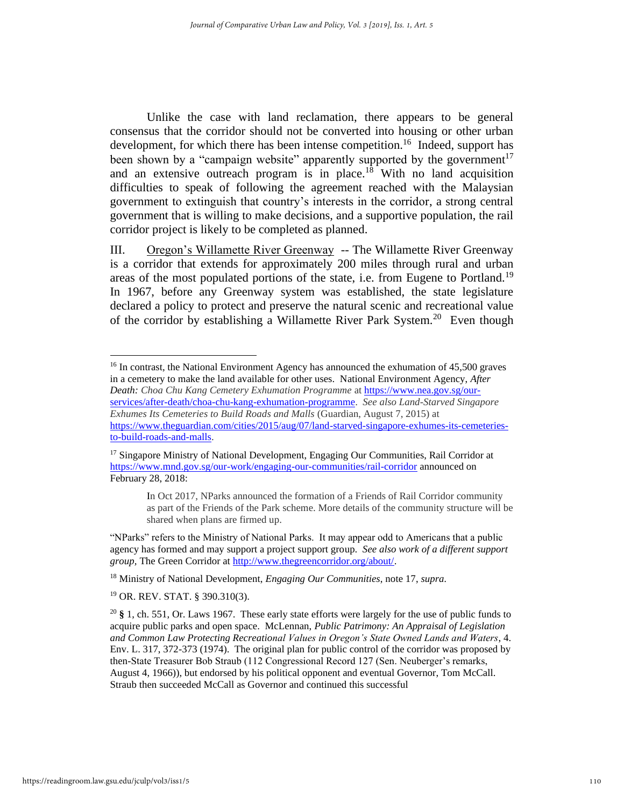Unlike the case with land reclamation, there appears to be general consensus that the corridor should not be converted into housing or other urban development, for which there has been intense competition.<sup>16</sup> Indeed, support has been shown by a "campaign website" apparently supported by the government<sup>17</sup> and an extensive outreach program is in place. $18$  With no land acquisition difficulties to speak of following the agreement reached with the Malaysian government to extinguish that country's interests in the corridor, a strong central government that is willing to make decisions, and a supportive population, the rail corridor project is likely to be completed as planned.

III. Oregon's Willamette River Greenway -- The Willamette River Greenway is a corridor that extends for approximately 200 miles through rural and urban areas of the most populated portions of the state, i.e. from Eugene to Portland.<sup>19</sup> In 1967, before any Greenway system was established, the state legislature declared a policy to protect and preserve the natural scenic and recreational value of the corridor by establishing a Willamette River Park System.<sup>20</sup> Even though

In Oct 2017, NParks announced the formation of a Friends of Rail Corridor community as part of the Friends of the Park scheme. More details of the community structure will be shared when plans are firmed up.

"NParks" refers to the Ministry of National Parks. It may appear odd to Americans that a public agency has formed and may support a project support group. *See also work of a different support group,* The Green Corridor at [http://www.thegreencorridor.org/about/.](http://www.thegreencorridor.org/about/)

<sup>18</sup> Ministry of National Development, *Engaging Our Communities*, note 17, *supra.*

<sup>19</sup> OR. REV. STAT. § 390.310(3).

<sup>&</sup>lt;sup>16</sup> In contrast, the National Environment Agency has announced the exhumation of 45,500 graves in a cemetery to make the land available for other uses. National Environment Agency, *After Death: Choa Chu Kang Cemetery Exhumation Programme* a[t https://www.nea.gov.sg/our](https://www.nea.gov.sg/our-services/after-death/choa-chu-kang-exhumation-programme)[services/after-death/choa-chu-kang-exhumation-programme.](https://www.nea.gov.sg/our-services/after-death/choa-chu-kang-exhumation-programme) *See also Land-Starved Singapore Exhumes Its Cemeteries to Build Roads and Malls* (Guardian, August 7, 2015) at [https://www.theguardian.com/cities/2015/aug/07/land-starved-singapore-exhumes-its-cemeteries](https://www.theguardian.com/cities/2015/aug/07/land-starved-singapore-exhumes-its-cemeteries-to-build-roads-and-malls)[to-build-roads-and-malls.](https://www.theguardian.com/cities/2015/aug/07/land-starved-singapore-exhumes-its-cemeteries-to-build-roads-and-malls)

<sup>&</sup>lt;sup>17</sup> Singapore Ministry of National Development, Engaging Our Communities, Rail Corridor at <https://www.mnd.gov.sg/our-work/engaging-our-communities/rail-corridor> announced on February 28, 2018:

<sup>20</sup> **§** 1, ch. 551, Or. Laws 1967. These early state efforts were largely for the use of public funds to acquire public parks and open space. McLennan, *Public Patrimony: An Appraisal of Legislation and Common Law Protecting Recreational Values in Oregon's State Owned Lands and Waters*, 4. Env. L. 317, 372-373 (1974). The original plan for public control of the corridor was proposed by then-State Treasurer Bob Straub (112 Congressional Record 127 (Sen. Neuberger's remarks, August 4, 1966)), but endorsed by his political opponent and eventual Governor, Tom McCall. Straub then succeeded McCall as Governor and continued this successful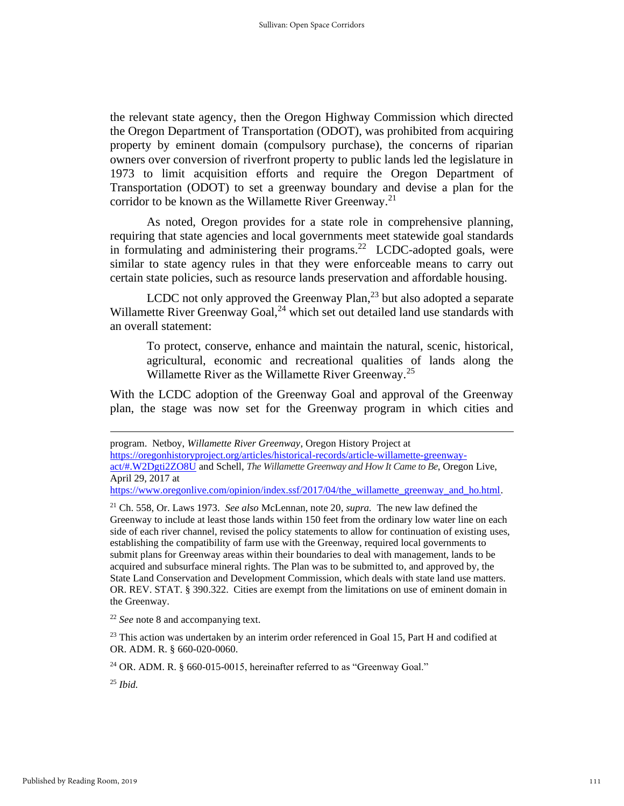the relevant state agency, then the Oregon Highway Commission which directed the Oregon Department of Transportation (ODOT), was prohibited from acquiring property by eminent domain (compulsory purchase), the concerns of riparian owners over conversion of riverfront property to public lands led the legislature in 1973 to limit acquisition efforts and require the Oregon Department of Transportation (ODOT) to set a greenway boundary and devise a plan for the corridor to be known as the Willamette River Greenway.<sup>21</sup>

As noted, Oregon provides for a state role in comprehensive planning, requiring that state agencies and local governments meet statewide goal standards in formulating and administering their programs.<sup>22</sup> LCDC-adopted goals, were similar to state agency rules in that they were enforceable means to carry out certain state policies, such as resource lands preservation and affordable housing.

LCDC not only approved the Greenway Plan,<sup>23</sup> but also adopted a separate Willamette River Greenway Goal,<sup>24</sup> which set out detailed land use standards with an overall statement:

To protect, conserve, enhance and maintain the natural, scenic, historical, agricultural, economic and recreational qualities of lands along the Willamette River as the Willamette River Greenway.<sup>25</sup>

With the LCDC adoption of the Greenway Goal and approval of the Greenway plan, the stage was now set for the Greenway program in which cities and

[https://oregonhistoryproject.org/articles/historical-records/article-willamette-greenway](https://oregonhistoryproject.org/articles/historical-records/article-willamette-greenway-act/#.W2Dgti2ZO8U)[act/#.W2Dgti2ZO8U](https://oregonhistoryproject.org/articles/historical-records/article-willamette-greenway-act/#.W2Dgti2ZO8U) and Schell, *The Willamette Greenway and How It Came to Be*, Oregon Live, April 29, 2017 at

[https://www.oregonlive.com/opinion/index.ssf/2017/04/the\\_willamette\\_greenway\\_and\\_ho.html.](https://www.oregonlive.com/opinion/index.ssf/2017/04/the_willamette_greenway_and_ho.html) 

<sup>22</sup> *See* note 8 and accompanying text.

 $23$  This action was undertaken by an interim order referenced in Goal 15, Part H and codified at OR. ADM. R. § 660-020-0060.

 $24$  OR. ADM. R. § 660-015-0015, hereinafter referred to as "Greenway Goal."

<sup>25</sup> *Ibid.*

program. Netboy, *Willamette River Greenway*, Oregon History Project at

<sup>21</sup> Ch. 558, Or. Laws 1973. *See also* McLennan, note 20, *supra.* The new law defined the Greenway to include at least those lands within 150 feet from the ordinary low water line on each side of each river channel, revised the policy statements to allow for continuation of existing uses, establishing the compatibility of farm use with the Greenway, required local governments to submit plans for Greenway areas within their boundaries to deal with management, lands to be acquired and subsurface mineral rights. The Plan was to be submitted to, and approved by, the State Land Conservation and Development Commission, which deals with state land use matters. OR. REV. STAT. § 390.322. Cities are exempt from the limitations on use of eminent domain in the Greenway.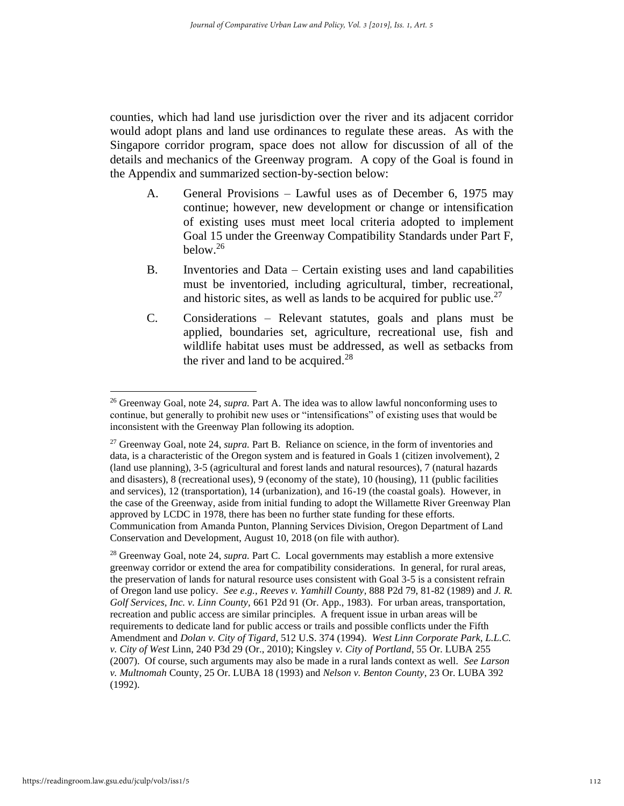counties, which had land use jurisdiction over the river and its adjacent corridor would adopt plans and land use ordinances to regulate these areas. As with the Singapore corridor program, space does not allow for discussion of all of the details and mechanics of the Greenway program. A copy of the Goal is found in the Appendix and summarized section-by-section below:

- A. General Provisions Lawful uses as of December 6, 1975 may continue; however, new development or change or intensification of existing uses must meet local criteria adopted to implement Goal 15 under the Greenway Compatibility Standards under Part F, below. $26$
- B. Inventories and Data Certain existing uses and land capabilities must be inventoried, including agricultural, timber, recreational, and historic sites, as well as lands to be acquired for public use. $27$
- C. Considerations Relevant statutes, goals and plans must be applied, boundaries set, agriculture, recreational use, fish and wildlife habitat uses must be addressed, as well as setbacks from the river and land to be acquired. $28$

<sup>28</sup> Greenway Goal, note 24, *supra.* Part C. Local governments may establish a more extensive greenway corridor or extend the area for compatibility considerations. In general, for rural areas, the preservation of lands for natural resource uses consistent with Goal 3-5 is a consistent refrain of Oregon land use policy. *See e.g., Reeves v. Yamhill County*, 888 P2d 79, 81-82 (1989) and *J. R. Golf Services, Inc. v. Linn County,* 661 P2d 91 (Or. App., 1983). For urban areas, transportation, recreation and public access are similar principles. A frequent issue in urban areas will be requirements to dedicate land for public access or trails and possible conflicts under the Fifth Amendment and *Dolan v. City of Tigard*, 512 U.S. 374 (1994). *West Linn Corporate Park, L.L.C. v. City of West* Linn, 240 P3d 29 (Or., 2010); Kingsley *v. City of Portland*, 55 Or. LUBA 255 (2007). Of course, such arguments may also be made in a rural lands context as well. *See Larson v. Multnomah* County, 25 Or. LUBA 18 (1993) and *Nelson v. Benton County*, 23 Or. LUBA 392 (1992).

<sup>26</sup> Greenway Goal, note 24, *supra.* Part A. The idea was to allow lawful nonconforming uses to continue, but generally to prohibit new uses or "intensifications" of existing uses that would be inconsistent with the Greenway Plan following its adoption.

<sup>27</sup> Greenway Goal, note 24, *supra.* Part B. Reliance on science, in the form of inventories and data, is a characteristic of the Oregon system and is featured in Goals 1 (citizen involvement), 2 (land use planning), 3-5 (agricultural and forest lands and natural resources), 7 (natural hazards and disasters), 8 (recreational uses), 9 (economy of the state), 10 (housing), 11 (public facilities and services), 12 (transportation), 14 (urbanization), and 16-19 (the coastal goals). However, in the case of the Greenway, aside from initial funding to adopt the Willamette River Greenway Plan approved by LCDC in 1978, there has been no further state funding for these efforts. Communication from Amanda Punton, Planning Services Division, Oregon Department of Land Conservation and Development, August 10, 2018 (on file with author).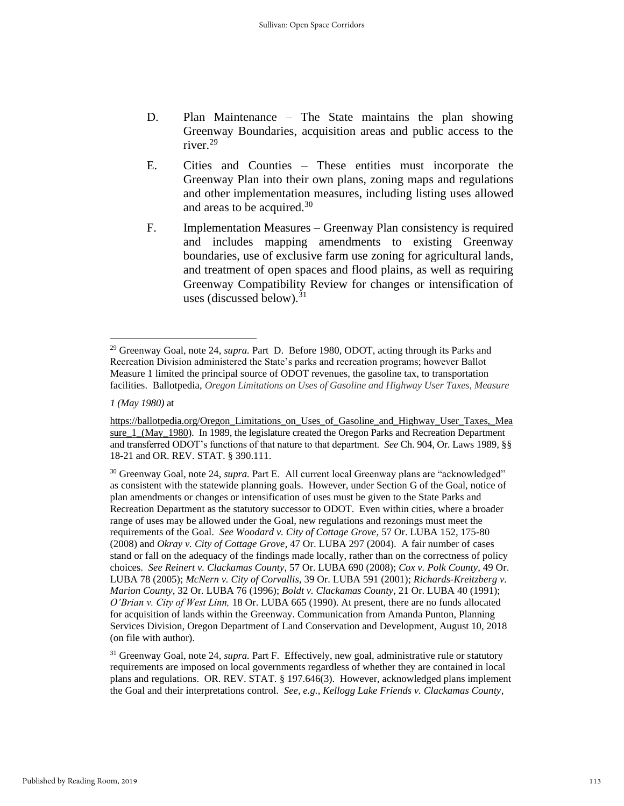- D. Plan Maintenance The State maintains the plan showing Greenway Boundaries, acquisition areas and public access to the river.<sup>29</sup>
- E. Cities and Counties These entities must incorporate the Greenway Plan into their own plans, zoning maps and regulations and other implementation measures, including listing uses allowed and areas to be acquired.<sup>30</sup>
- F. Implementation Measures Greenway Plan consistency is required and includes mapping amendments to existing Greenway boundaries, use of exclusive farm use zoning for agricultural lands, and treatment of open spaces and flood plains, as well as requiring Greenway Compatibility Review for changes or intensification of uses (discussed below). $31$

<sup>29</sup> Greenway Goal, note 24, *supra.* Part D. Before 1980, ODOT, acting through its Parks and Recreation Division administered the State's parks and recreation programs; however Ballot Measure 1 limited the principal source of ODOT revenues, the gasoline tax, to transportation facilities. Ballotpedia, *Oregon Limitations on Uses of Gasoline and Highway User Taxes, Measure* 

*<sup>1 (</sup>May 1980)* at

[https://ballotpedia.org/Oregon\\_Limitations\\_on\\_Uses\\_of\\_Gasoline\\_and\\_Highway\\_User\\_Taxes,\\_Mea](https://ballotpedia.org/Oregon_Limitations_on_Uses_of_Gasoline_and_Highway_User_Taxes,_Measure_1_(May_1980) sure 1 (May 1980). In 1989, the legislature created the Oregon Parks and Recreation Department and transferred ODOT's functions of that nature to that department. *See* Ch. 904, Or. Laws 1989, §§ 18-21 and OR. REV. STAT. § 390.111.

<sup>&</sup>lt;sup>30</sup> Greenway Goal, note 24, *supra*. Part E. All current local Greenway plans are "acknowledged" as consistent with the statewide planning goals. However, under Section G of the Goal, notice of plan amendments or changes or intensification of uses must be given to the State Parks and Recreation Department as the statutory successor to ODOT. Even within cities, where a broader range of uses may be allowed under the Goal, new regulations and rezonings must meet the requirements of the Goal. *See Woodard v. City of Cottage Grove*, 57 Or. LUBA 152, 175-80 (2008) and *Okray v. City of Cottage Grove*, 47 Or. LUBA 297 (2004). A fair number of cases stand or fall on the adequacy of the findings made locally, rather than on the correctness of policy choices. *See Reinert v. Clackamas County*, 57 Or. LUBA 690 (2008); *Cox v. Polk County*, 49 Or. LUBA 78 (2005); *McNern v. City of Corvallis*, 39 Or. LUBA 591 (2001); *Richards-Kreitzberg v. Marion County,* 32 Or. LUBA 76 (1996); *Boldt v. Clackamas County*, 21 Or. LUBA 40 (1991); *O'Brian v. City of West Linn,* 18 Or. LUBA 665 (1990). At present, there are no funds allocated for acquisition of lands within the Greenway. Communication from Amanda Punton, Planning Services Division, Oregon Department of Land Conservation and Development, August 10, 2018 (on file with author).

<sup>31</sup> Greenway Goal, note 24, *supra.* Part F. Effectively, new goal, administrative rule or statutory requirements are imposed on local governments regardless of whether they are contained in local plans and regulations. OR. REV. STAT. § 197.646(3). However, acknowledged plans implement the Goal and their interpretations control. *See, e.g., Kellogg Lake Friends v. Clackamas County*,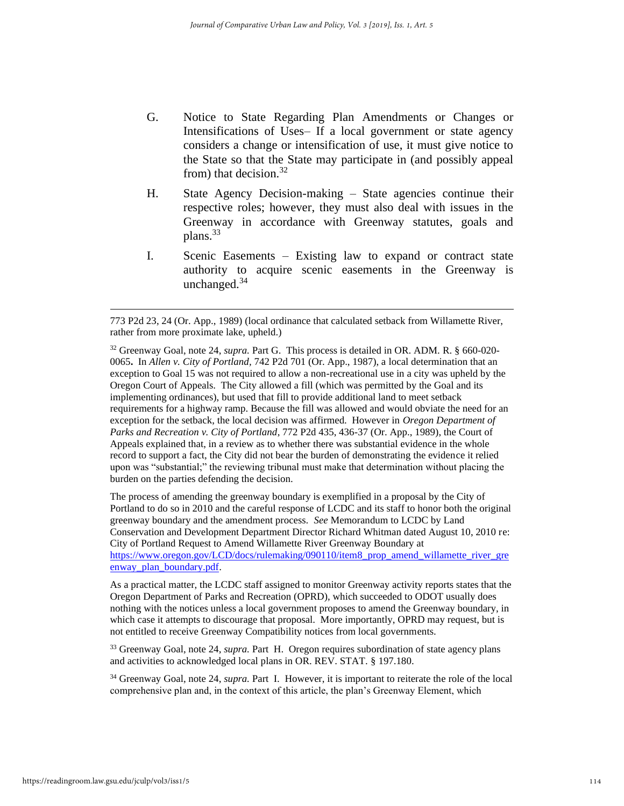- G. Notice to State Regarding Plan Amendments or Changes or Intensifications of Uses– If a local government or state agency considers a change or intensification of use, it must give notice to the State so that the State may participate in (and possibly appeal from) that decision. $32$
- H. State Agency Decision-making State agencies continue their respective roles; however, they must also deal with issues in the Greenway in accordance with Greenway statutes, goals and plans.<sup>33</sup>
- I. Scenic Easements Existing law to expand or contract state authority to acquire scenic easements in the Greenway is unchanged.<sup>34</sup>

The process of amending the greenway boundary is exemplified in a proposal by the City of Portland to do so in 2010 and the careful response of LCDC and its staff to honor both the original greenway boundary and the amendment process. *See* Memorandum to LCDC by Land Conservation and Development Department Director Richard Whitman dated August 10, 2010 re: City of Portland Request to Amend Willamette River Greenway Boundary at [https://www.oregon.gov/LCD/docs/rulemaking/090110/item8\\_prop\\_amend\\_willamette\\_river\\_gre](https://www.oregon.gov/LCD/docs/rulemaking/090110/item8_prop_amend_willamette_river_greenway_plan_boundary.pdf) enway plan boundary.pdf.

As a practical matter, the LCDC staff assigned to monitor Greenway activity reports states that the Oregon Department of Parks and Recreation (OPRD), which succeeded to ODOT usually does nothing with the notices unless a local government proposes to amend the Greenway boundary, in which case it attempts to discourage that proposal. More importantly, OPRD may request, but is not entitled to receive Greenway Compatibility notices from local governments.

<sup>33</sup> Greenway Goal, note 24, *supra.* Part H. Oregon requires subordination of state agency plans and activities to acknowledged local plans in OR. REV. STAT. § 197.180.

<sup>34</sup> Greenway Goal, note 24, *supra.* Part I. However, it is important to reiterate the role of the local comprehensive plan and, in the context of this article, the plan's Greenway Element, which

<sup>773</sup> P2d 23, 24 (Or. App., 1989) (local ordinance that calculated setback from Willamette River, rather from more proximate lake, upheld.)

<sup>32</sup> Greenway Goal, note 24, *supra.* Part G. This process is detailed in OR. ADM. R. [§ 660-020-](https://secure.sos.state.or.us/oard/viewSingleRule.action;JSESSIONID_OARD=9fMVYZt9E9Xu39SJSJuxFyQC205tME-jlapfctesuQmWD_8AQxg0!-1397433681?ruleVrsnRsn=175644) [0065](https://secure.sos.state.or.us/oard/viewSingleRule.action;JSESSIONID_OARD=9fMVYZt9E9Xu39SJSJuxFyQC205tME-jlapfctesuQmWD_8AQxg0!-1397433681?ruleVrsnRsn=175644)**.** In *Allen v. City of Portland,* 742 P2d 701 (Or. App., 1987), a local determination that an exception to Goal 15 was not required to allow a non-recreational use in a city was upheld by the Oregon Court of Appeals. The City allowed a fill (which was permitted by the Goal and its implementing ordinances), but used that fill to provide additional land to meet setback requirements for a highway ramp. Because the fill was allowed and would obviate the need for an exception for the setback, the local decision was affirmed. However in *Oregon Department of Parks and Recreation v. City of Portland*, 772 P2d 435, 436-37 (Or. App., 1989), the Court of Appeals explained that, in a review as to whether there was substantial evidence in the whole record to support a fact, the City did not bear the burden of demonstrating the evidence it relied upon was "substantial;" the reviewing tribunal must make that determination without placing the burden on the parties defending the decision.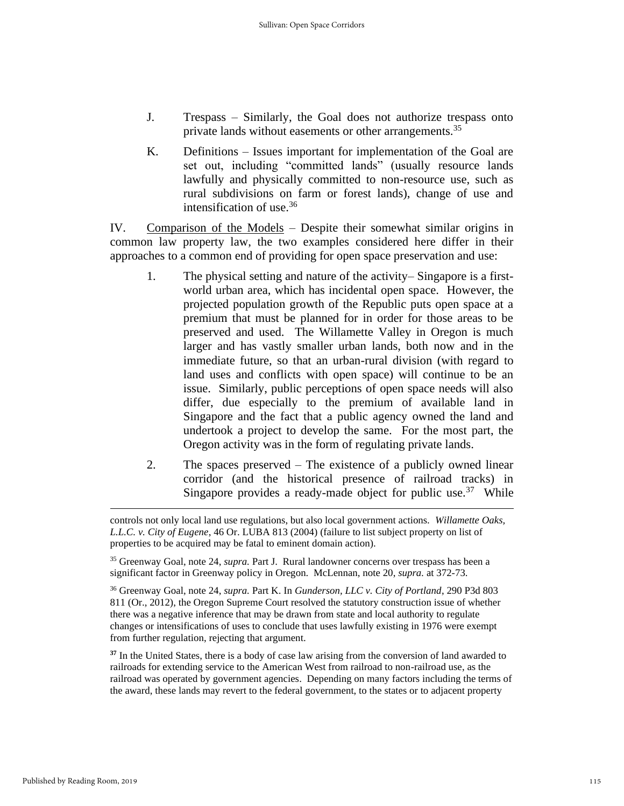- J. Trespass Similarly, the Goal does not authorize trespass onto private lands without easements or other arrangements.<sup>35</sup>
- K. Definitions Issues important for implementation of the Goal are set out, including "committed lands" (usually resource lands lawfully and physically committed to non-resource use, such as rural subdivisions on farm or forest lands), change of use and intensification of use. $36$

IV. Comparison of the Models – Despite their somewhat similar origins in common law property law, the two examples considered here differ in their approaches to a common end of providing for open space preservation and use:

- 1. The physical setting and nature of the activity– Singapore is a firstworld urban area, which has incidental open space. However, the projected population growth of the Republic puts open space at a premium that must be planned for in order for those areas to be preserved and used. The Willamette Valley in Oregon is much larger and has vastly smaller urban lands, both now and in the immediate future, so that an urban-rural division (with regard to land uses and conflicts with open space) will continue to be an issue. Similarly, public perceptions of open space needs will also differ, due especially to the premium of available land in Singapore and the fact that a public agency owned the land and undertook a project to develop the same. For the most part, the Oregon activity was in the form of regulating private lands.
- 2. The spaces preserved The existence of a publicly owned linear corridor (and the historical presence of railroad tracks) in Singapore provides a ready-made object for public use.<sup>37</sup> While

<sup>35</sup> Greenway Goal, note 24, *supra.* Part J. Rural landowner concerns over trespass has been a significant factor in Greenway policy in Oregon. McLennan, note 20, *supra.* at 372-73.

<sup>36</sup> Greenway Goal, note 24, *supra.* Part K. In *Gunderson, LLC v. City of Portland*, 290 P3d 803 811 (Or., 2012), the Oregon Supreme Court resolved the statutory construction issue of whether there was a negative inference that may be drawn from state and local authority to regulate changes or intensifications of uses to conclude that uses lawfully existing in 1976 were exempt from further regulation, rejecting that argument.

**<sup>37</sup>** In the United States, there is a body of case law arising from the conversion of land awarded to railroads for extending service to the American West from railroad to non-railroad use, as the railroad was operated by government agencies. Depending on many factors including the terms of the award, these lands may revert to the federal government, to the states or to adjacent property

controls not only local land use regulations, but also local government actions. *Willamette Oaks, L.L.C. v. City of Eugene*, 46 Or. LUBA 813 (2004) (failure to list subject property on list of properties to be acquired may be fatal to eminent domain action).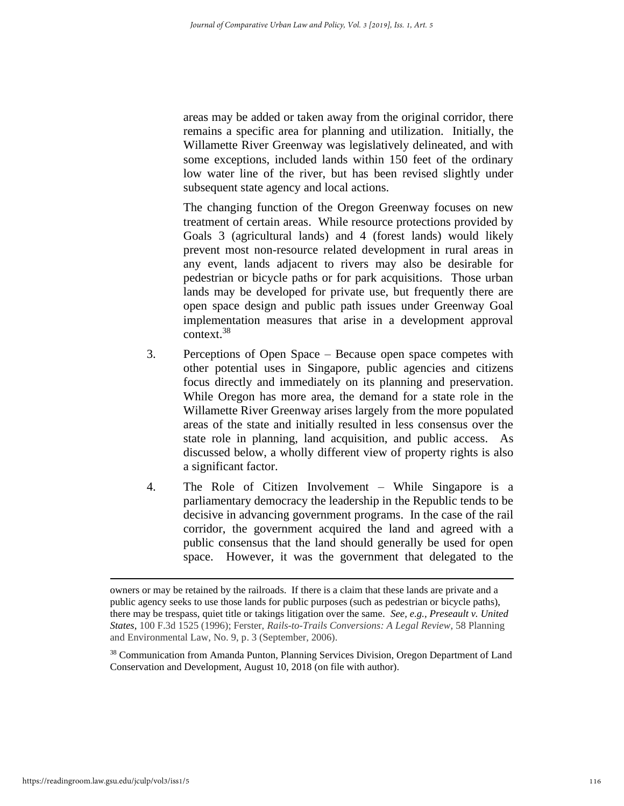areas may be added or taken away from the original corridor, there remains a specific area for planning and utilization. Initially, the Willamette River Greenway was legislatively delineated, and with some exceptions, included lands within 150 feet of the ordinary low water line of the river, but has been revised slightly under subsequent state agency and local actions.

The changing function of the Oregon Greenway focuses on new treatment of certain areas. While resource protections provided by Goals 3 (agricultural lands) and 4 (forest lands) would likely prevent most non-resource related development in rural areas in any event, lands adjacent to rivers may also be desirable for pedestrian or bicycle paths or for park acquisitions. Those urban lands may be developed for private use, but frequently there are open space design and public path issues under Greenway Goal implementation measures that arise in a development approval context.<sup>38</sup>

- 3. Perceptions of Open Space Because open space competes with other potential uses in Singapore, public agencies and citizens focus directly and immediately on its planning and preservation. While Oregon has more area, the demand for a state role in the Willamette River Greenway arises largely from the more populated areas of the state and initially resulted in less consensus over the state role in planning, land acquisition, and public access. As discussed below, a wholly different view of property rights is also a significant factor.
- 4. The Role of Citizen Involvement While Singapore is a parliamentary democracy the leadership in the Republic tends to be decisive in advancing government programs. In the case of the rail corridor, the government acquired the land and agreed with a public consensus that the land should generally be used for open space. However, it was the government that delegated to the

owners or may be retained by the railroads. If there is a claim that these lands are private and a public agency seeks to use those lands for public purposes (such as pedestrian or bicycle paths), there may be trespass, quiet title or takings litigation over the same. *See, e.g., Preseault v. United States*, 100 F.3d 1525 (1996); Ferster, *Rails-to-Trails Conversions: A Legal Review*, 58 Planning and Environmental Law, No. 9, p. 3 (September, 2006).

<sup>&</sup>lt;sup>38</sup> Communication from Amanda Punton, Planning Services Division, Oregon Department of Land Conservation and Development, August 10, 2018 (on file with author).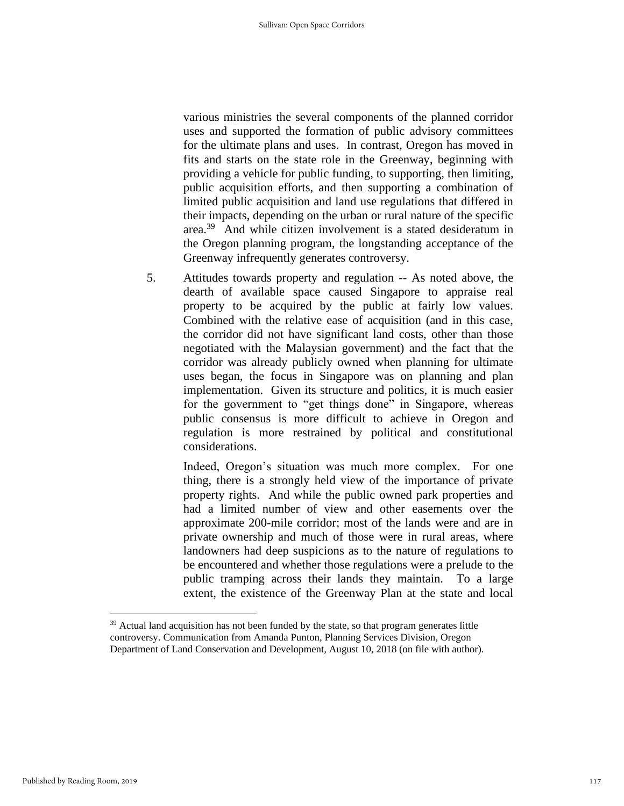various ministries the several components of the planned corridor uses and supported the formation of public advisory committees for the ultimate plans and uses. In contrast, Oregon has moved in fits and starts on the state role in the Greenway, beginning with providing a vehicle for public funding, to supporting, then limiting, public acquisition efforts, and then supporting a combination of limited public acquisition and land use regulations that differed in their impacts, depending on the urban or rural nature of the specific area.<sup>39</sup> And while citizen involvement is a stated desideratum in the Oregon planning program, the longstanding acceptance of the Greenway infrequently generates controversy.

5. Attitudes towards property and regulation -- As noted above, the dearth of available space caused Singapore to appraise real property to be acquired by the public at fairly low values. Combined with the relative ease of acquisition (and in this case, the corridor did not have significant land costs, other than those negotiated with the Malaysian government) and the fact that the corridor was already publicly owned when planning for ultimate uses began, the focus in Singapore was on planning and plan implementation. Given its structure and politics, it is much easier for the government to "get things done" in Singapore, whereas public consensus is more difficult to achieve in Oregon and regulation is more restrained by political and constitutional considerations.

Indeed, Oregon's situation was much more complex. For one thing, there is a strongly held view of the importance of private property rights. And while the public owned park properties and had a limited number of view and other easements over the approximate 200-mile corridor; most of the lands were and are in private ownership and much of those were in rural areas, where landowners had deep suspicions as to the nature of regulations to be encountered and whether those regulations were a prelude to the public tramping across their lands they maintain. To a large extent, the existence of the Greenway Plan at the state and local

<sup>&</sup>lt;sup>39</sup> Actual land acquisition has not been funded by the state, so that program generates little controversy. Communication from Amanda Punton, Planning Services Division, Oregon Department of Land Conservation and Development, August 10, 2018 (on file with author).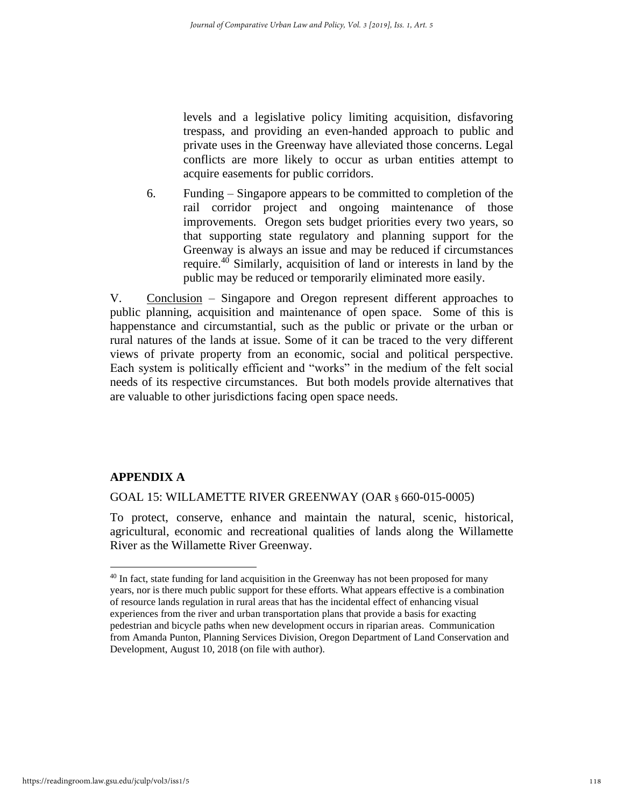levels and a legislative policy limiting acquisition, disfavoring trespass, and providing an even-handed approach to public and private uses in the Greenway have alleviated those concerns. Legal conflicts are more likely to occur as urban entities attempt to acquire easements for public corridors.

6. Funding – Singapore appears to be committed to completion of the rail corridor project and ongoing maintenance of those improvements. Oregon sets budget priorities every two years, so that supporting state regulatory and planning support for the Greenway is always an issue and may be reduced if circumstances require.<sup>40</sup> Similarly, acquisition of land or interests in land by the public may be reduced or temporarily eliminated more easily.

V. Conclusion – Singapore and Oregon represent different approaches to public planning, acquisition and maintenance of open space. Some of this is happenstance and circumstantial, such as the public or private or the urban or rural natures of the lands at issue. Some of it can be traced to the very different views of private property from an economic, social and political perspective. Each system is politically efficient and "works" in the medium of the felt social needs of its respective circumstances. But both models provide alternatives that are valuable to other jurisdictions facing open space needs.

# **APPENDIX A**

GOAL 15: WILLAMETTE RIVER GREENWAY (OAR § 660-015-0005)

To protect, conserve, enhance and maintain the natural, scenic, historical, agricultural, economic and recreational qualities of lands along the Willamette River as the Willamette River Greenway.

 $40$  In fact, state funding for land acquisition in the Greenway has not been proposed for many years, nor is there much public support for these efforts. What appears effective is a combination of resource lands regulation in rural areas that has the incidental effect of enhancing visual experiences from the river and urban transportation plans that provide a basis for exacting pedestrian and bicycle paths when new development occurs in riparian areas. Communication from Amanda Punton, Planning Services Division, Oregon Department of Land Conservation and Development, August 10, 2018 (on file with author).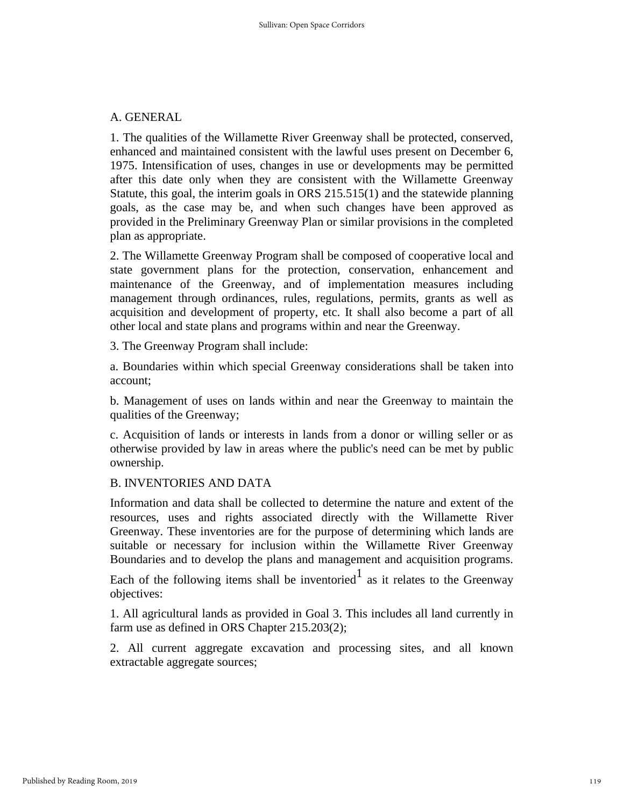# A. GENERAL

1. The qualities of the Willamette River Greenway shall be protected, conserved, enhanced and maintained consistent with the lawful uses present on December 6, 1975. Intensification of uses, changes in use or developments may be permitted after this date only when they are consistent with the Willamette Greenway Statute, this goal, the interim goals in ORS 215.515(1) and the statewide planning goals, as the case may be, and when such changes have been approved as provided in the Preliminary Greenway Plan or similar provisions in the completed plan as appropriate.

2. The Willamette Greenway Program shall be composed of cooperative local and state government plans for the protection, conservation, enhancement and maintenance of the Greenway, and of implementation measures including management through ordinances, rules, regulations, permits, grants as well as acquisition and development of property, etc. It shall also become a part of all other local and state plans and programs within and near the Greenway.

3. The Greenway Program shall include:

a. Boundaries within which special Greenway considerations shall be taken into account;

b. Management of uses on lands within and near the Greenway to maintain the qualities of the Greenway;

c. Acquisition of lands or interests in lands from a donor or willing seller or as otherwise provided by law in areas where the public's need can be met by public ownership.

# B. INVENTORIES AND DATA

Information and data shall be collected to determine the nature and extent of the resources, uses and rights associated directly with the Willamette River Greenway. These inventories are for the purpose of determining which lands are suitable or necessary for inclusion within the Willamette River Greenway Boundaries and to develop the plans and management and acquisition programs.

Each of the following items shall be inventoried as it relates to the Greenway objectives:

1. All agricultural lands as provided in Goal 3. This includes all land currently in farm use as defined in ORS Chapter 215.203(2);

2. All current aggregate excavation and processing sites, and all known extractable aggregate sources;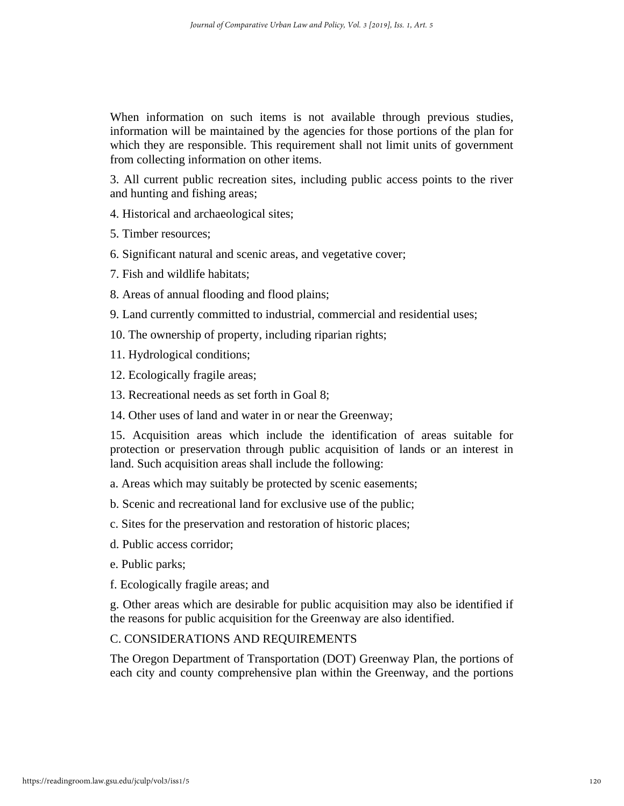When information on such items is not available through previous studies, information will be maintained by the agencies for those portions of the plan for which they are responsible. This requirement shall not limit units of government from collecting information on other items.

3. All current public recreation sites, including public access points to the river and hunting and fishing areas;

4. Historical and archaeological sites;

5. Timber resources;

6. Significant natural and scenic areas, and vegetative cover;

- 7. Fish and wildlife habitats;
- 8. Areas of annual flooding and flood plains;
- 9. Land currently committed to industrial, commercial and residential uses;
- 10. The ownership of property, including riparian rights;
- 11. Hydrological conditions;
- 12. Ecologically fragile areas;
- 13. Recreational needs as set forth in Goal 8;
- 14. Other uses of land and water in or near the Greenway;

15. Acquisition areas which include the identification of areas suitable for protection or preservation through public acquisition of lands or an interest in land. Such acquisition areas shall include the following:

a. Areas which may suitably be protected by scenic easements;

b. Scenic and recreational land for exclusive use of the public;

c. Sites for the preservation and restoration of historic places;

- d. Public access corridor;
- e. Public parks;
- f. Ecologically fragile areas; and

g. Other areas which are desirable for public acquisition may also be identified if the reasons for public acquisition for the Greenway are also identified.

# C. CONSIDERATIONS AND REQUIREMENTS

The Oregon Department of Transportation (DOT) Greenway Plan, the portions of each city and county comprehensive plan within the Greenway, and the portions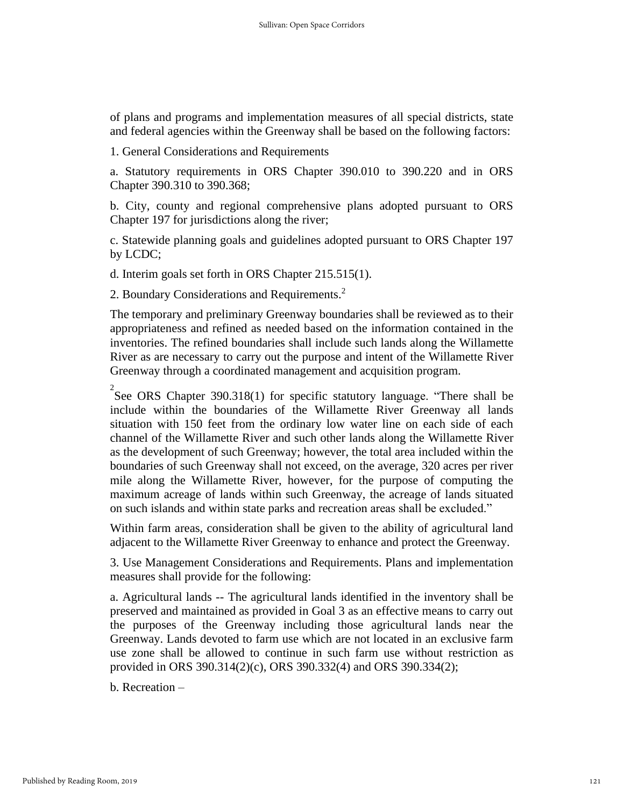of plans and programs and implementation measures of all special districts, state and federal agencies within the Greenway shall be based on the following factors:

1. General Considerations and Requirements

a. Statutory requirements in ORS Chapter 390.010 to 390.220 and in ORS Chapter 390.310 to 390.368;

b. City, county and regional comprehensive plans adopted pursuant to ORS Chapter 197 for jurisdictions along the river;

c. Statewide planning goals and guidelines adopted pursuant to ORS Chapter 197 by LCDC;

d. Interim goals set forth in ORS Chapter 215.515(1).

2. Boundary Considerations and Requirements.<sup>2</sup>

The temporary and preliminary Greenway boundaries shall be reviewed as to their appropriateness and refined as needed based on the information contained in the inventories. The refined boundaries shall include such lands along the Willamette River as are necessary to carry out the purpose and intent of the Willamette River Greenway through a coordinated management and acquisition program.

<sup>2</sup> See ORS Chapter 390.318(1) for specific statutory language. "There shall be include within the boundaries of the Willamette River Greenway all lands situation with 150 feet from the ordinary low water line on each side of each channel of the Willamette River and such other lands along the Willamette River as the development of such Greenway; however, the total area included within the boundaries of such Greenway shall not exceed, on the average, 320 acres per river mile along the Willamette River, however, for the purpose of computing the maximum acreage of lands within such Greenway, the acreage of lands situated on such islands and within state parks and recreation areas shall be excluded."

Within farm areas, consideration shall be given to the ability of agricultural land adjacent to the Willamette River Greenway to enhance and protect the Greenway.

3. Use Management Considerations and Requirements. Plans and implementation measures shall provide for the following:

a. Agricultural lands -- The agricultural lands identified in the inventory shall be preserved and maintained as provided in Goal 3 as an effective means to carry out the purposes of the Greenway including those agricultural lands near the Greenway. Lands devoted to farm use which are not located in an exclusive farm use zone shall be allowed to continue in such farm use without restriction as provided in ORS 390.314(2)(c), ORS 390.332(4) and ORS 390.334(2);

b. Recreation –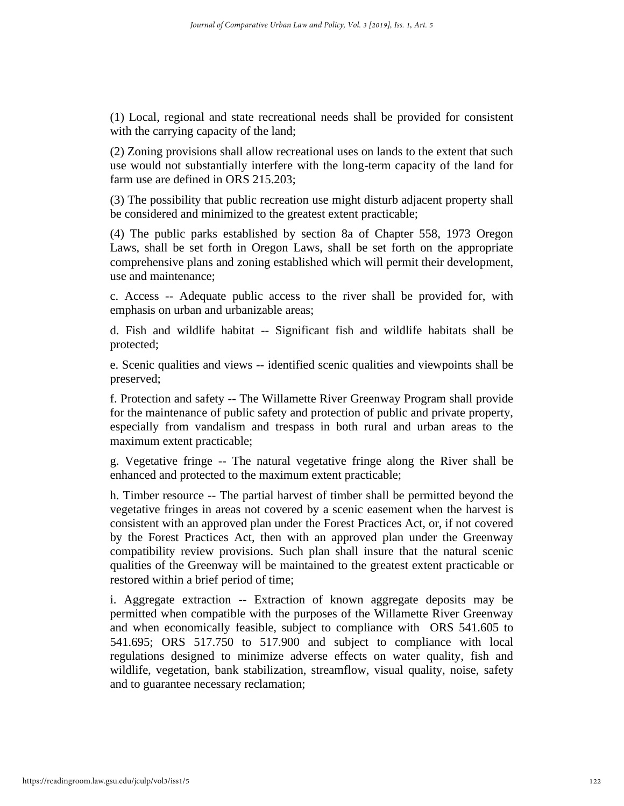(1) Local, regional and state recreational needs shall be provided for consistent with the carrying capacity of the land;

(2) Zoning provisions shall allow recreational uses on lands to the extent that such use would not substantially interfere with the long-term capacity of the land for farm use are defined in ORS 215.203;

(3) The possibility that public recreation use might disturb adjacent property shall be considered and minimized to the greatest extent practicable;

(4) The public parks established by section 8a of Chapter 558, 1973 Oregon Laws, shall be set forth in Oregon Laws, shall be set forth on the appropriate comprehensive plans and zoning established which will permit their development, use and maintenance;

c. Access -- Adequate public access to the river shall be provided for, with emphasis on urban and urbanizable areas;

d. Fish and wildlife habitat -- Significant fish and wildlife habitats shall be protected;

e. Scenic qualities and views -- identified scenic qualities and viewpoints shall be preserved;

f. Protection and safety -- The Willamette River Greenway Program shall provide for the maintenance of public safety and protection of public and private property, especially from vandalism and trespass in both rural and urban areas to the maximum extent practicable;

g. Vegetative fringe -- The natural vegetative fringe along the River shall be enhanced and protected to the maximum extent practicable;

h. Timber resource -- The partial harvest of timber shall be permitted beyond the vegetative fringes in areas not covered by a scenic easement when the harvest is consistent with an approved plan under the Forest Practices Act, or, if not covered by the Forest Practices Act, then with an approved plan under the Greenway compatibility review provisions. Such plan shall insure that the natural scenic qualities of the Greenway will be maintained to the greatest extent practicable or restored within a brief period of time;

i. Aggregate extraction -- Extraction of known aggregate deposits may be permitted when compatible with the purposes of the Willamette River Greenway and when economically feasible, subject to compliance with ORS 541.605 to 541.695; ORS 517.750 to 517.900 and subject to compliance with local regulations designed to minimize adverse effects on water quality, fish and wildlife, vegetation, bank stabilization, streamflow, visual quality, noise, safety and to guarantee necessary reclamation;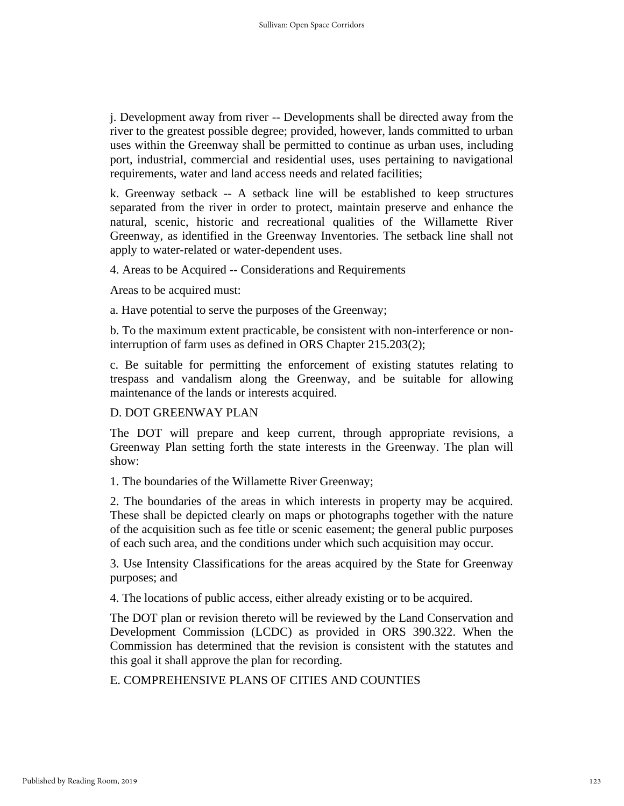j. Development away from river -- Developments shall be directed away from the river to the greatest possible degree; provided, however, lands committed to urban uses within the Greenway shall be permitted to continue as urban uses, including port, industrial, commercial and residential uses, uses pertaining to navigational requirements, water and land access needs and related facilities;

k. Greenway setback -- A setback line will be established to keep structures separated from the river in order to protect, maintain preserve and enhance the natural, scenic, historic and recreational qualities of the Willamette River Greenway, as identified in the Greenway Inventories. The setback line shall not apply to water-related or water-dependent uses.

4. Areas to be Acquired -- Considerations and Requirements

Areas to be acquired must:

a. Have potential to serve the purposes of the Greenway;

b. To the maximum extent practicable, be consistent with non-interference or noninterruption of farm uses as defined in ORS Chapter 215.203(2);

c. Be suitable for permitting the enforcement of existing statutes relating to trespass and vandalism along the Greenway, and be suitable for allowing maintenance of the lands or interests acquired.

## D. DOT GREENWAY PLAN

The DOT will prepare and keep current, through appropriate revisions, a Greenway Plan setting forth the state interests in the Greenway. The plan will show:

1. The boundaries of the Willamette River Greenway;

2. The boundaries of the areas in which interests in property may be acquired. These shall be depicted clearly on maps or photographs together with the nature of the acquisition such as fee title or scenic easement; the general public purposes of each such area, and the conditions under which such acquisition may occur.

3. Use Intensity Classifications for the areas acquired by the State for Greenway purposes; and

4. The locations of public access, either already existing or to be acquired.

The DOT plan or revision thereto will be reviewed by the Land Conservation and Development Commission (LCDC) as provided in ORS 390.322. When the Commission has determined that the revision is consistent with the statutes and this goal it shall approve the plan for recording.

E. COMPREHENSIVE PLANS OF CITIES AND COUNTIES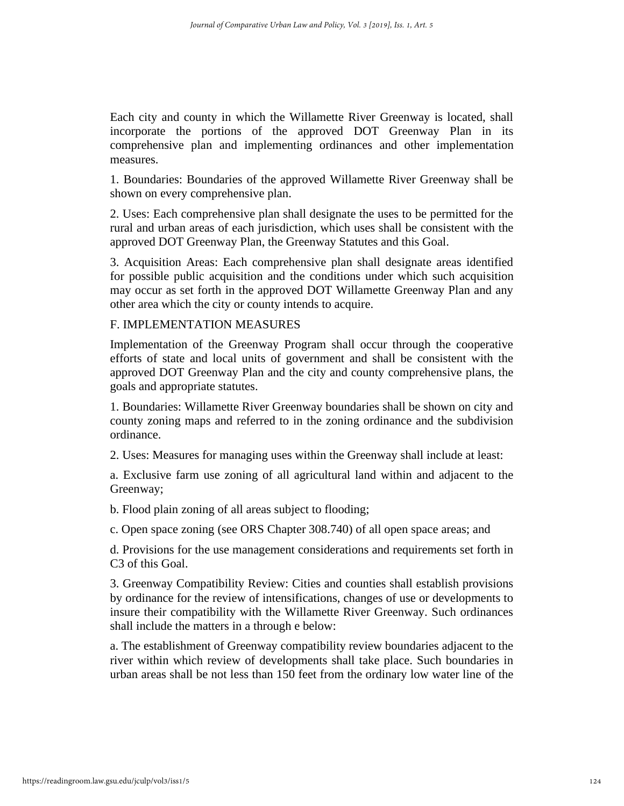Each city and county in which the Willamette River Greenway is located, shall incorporate the portions of the approved DOT Greenway Plan in its comprehensive plan and implementing ordinances and other implementation measures.

1. Boundaries: Boundaries of the approved Willamette River Greenway shall be shown on every comprehensive plan.

2. Uses: Each comprehensive plan shall designate the uses to be permitted for the rural and urban areas of each jurisdiction, which uses shall be consistent with the approved DOT Greenway Plan, the Greenway Statutes and this Goal.

3. Acquisition Areas: Each comprehensive plan shall designate areas identified for possible public acquisition and the conditions under which such acquisition may occur as set forth in the approved DOT Willamette Greenway Plan and any other area which the city or county intends to acquire.

## F. IMPLEMENTATION MEASURES

Implementation of the Greenway Program shall occur through the cooperative efforts of state and local units of government and shall be consistent with the approved DOT Greenway Plan and the city and county comprehensive plans, the goals and appropriate statutes.

1. Boundaries: Willamette River Greenway boundaries shall be shown on city and county zoning maps and referred to in the zoning ordinance and the subdivision ordinance.

2. Uses: Measures for managing uses within the Greenway shall include at least:

a. Exclusive farm use zoning of all agricultural land within and adjacent to the Greenway;

b. Flood plain zoning of all areas subject to flooding;

c. Open space zoning (see ORS Chapter 308.740) of all open space areas; and

d. Provisions for the use management considerations and requirements set forth in C3 of this Goal.

3. Greenway Compatibility Review: Cities and counties shall establish provisions by ordinance for the review of intensifications, changes of use or developments to insure their compatibility with the Willamette River Greenway. Such ordinances shall include the matters in a through e below:

a. The establishment of Greenway compatibility review boundaries adjacent to the river within which review of developments shall take place. Such boundaries in urban areas shall be not less than 150 feet from the ordinary low water line of the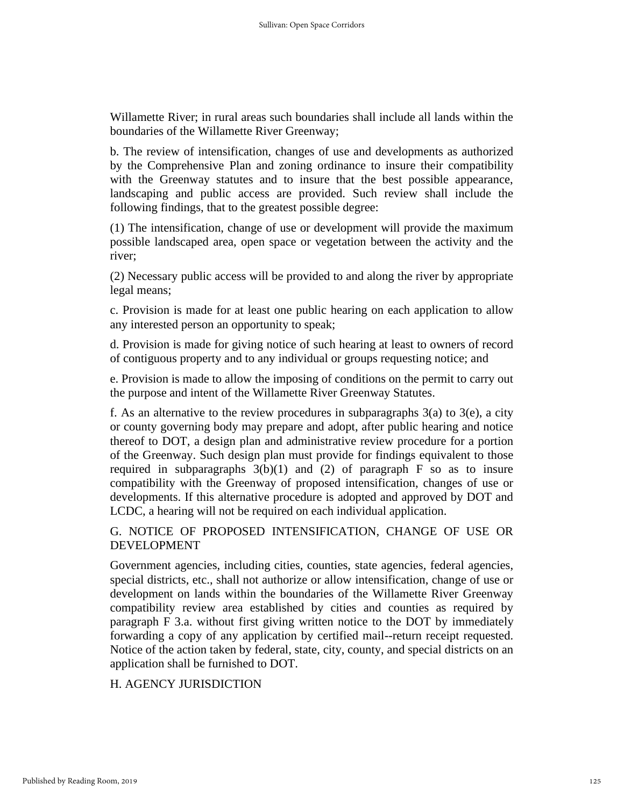Willamette River; in rural areas such boundaries shall include all lands within the boundaries of the Willamette River Greenway;

b. The review of intensification, changes of use and developments as authorized by the Comprehensive Plan and zoning ordinance to insure their compatibility with the Greenway statutes and to insure that the best possible appearance, landscaping and public access are provided. Such review shall include the following findings, that to the greatest possible degree:

(1) The intensification, change of use or development will provide the maximum possible landscaped area, open space or vegetation between the activity and the river;

(2) Necessary public access will be provided to and along the river by appropriate legal means;

c. Provision is made for at least one public hearing on each application to allow any interested person an opportunity to speak;

d. Provision is made for giving notice of such hearing at least to owners of record of contiguous property and to any individual or groups requesting notice; and

e. Provision is made to allow the imposing of conditions on the permit to carry out the purpose and intent of the Willamette River Greenway Statutes.

f. As an alternative to the review procedures in subparagraphs  $3(a)$  to  $3(e)$ , a city or county governing body may prepare and adopt, after public hearing and notice thereof to DOT, a design plan and administrative review procedure for a portion of the Greenway. Such design plan must provide for findings equivalent to those required in subparagraphs  $3(b)(1)$  and (2) of paragraph F so as to insure compatibility with the Greenway of proposed intensification, changes of use or developments. If this alternative procedure is adopted and approved by DOT and LCDC, a hearing will not be required on each individual application.

G. NOTICE OF PROPOSED INTENSIFICATION, CHANGE OF USE OR DEVELOPMENT

Government agencies, including cities, counties, state agencies, federal agencies, special districts, etc., shall not authorize or allow intensification, change of use or development on lands within the boundaries of the Willamette River Greenway compatibility review area established by cities and counties as required by paragraph F 3.a. without first giving written notice to the DOT by immediately forwarding a copy of any application by certified mail--return receipt requested. Notice of the action taken by federal, state, city, county, and special districts on an application shall be furnished to DOT.

# H. AGENCY JURISDICTION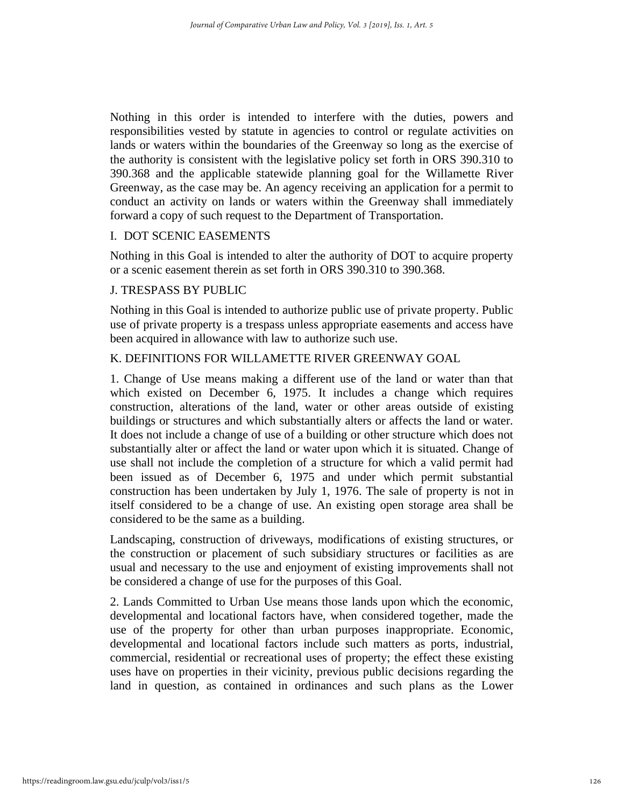Nothing in this order is intended to interfere with the duties, powers and responsibilities vested by statute in agencies to control or regulate activities on lands or waters within the boundaries of the Greenway so long as the exercise of the authority is consistent with the legislative policy set forth in ORS 390.310 to 390.368 and the applicable statewide planning goal for the Willamette River Greenway, as the case may be. An agency receiving an application for a permit to conduct an activity on lands or waters within the Greenway shall immediately forward a copy of such request to the Department of Transportation.

## I. DOT SCENIC EASEMENTS

Nothing in this Goal is intended to alter the authority of DOT to acquire property or a scenic easement therein as set forth in ORS 390.310 to 390.368.

# J. TRESPASS BY PUBLIC

Nothing in this Goal is intended to authorize public use of private property. Public use of private property is a trespass unless appropriate easements and access have been acquired in allowance with law to authorize such use.

# K. DEFINITIONS FOR WILLAMETTE RIVER GREENWAY GOAL

1. Change of Use means making a different use of the land or water than that which existed on December 6, 1975. It includes a change which requires construction, alterations of the land, water or other areas outside of existing buildings or structures and which substantially alters or affects the land or water. It does not include a change of use of a building or other structure which does not substantially alter or affect the land or water upon which it is situated. Change of use shall not include the completion of a structure for which a valid permit had been issued as of December 6, 1975 and under which permit substantial construction has been undertaken by July 1, 1976. The sale of property is not in itself considered to be a change of use. An existing open storage area shall be considered to be the same as a building.

Landscaping, construction of driveways, modifications of existing structures, or the construction or placement of such subsidiary structures or facilities as are usual and necessary to the use and enjoyment of existing improvements shall not be considered a change of use for the purposes of this Goal.

2. Lands Committed to Urban Use means those lands upon which the economic, developmental and locational factors have, when considered together, made the use of the property for other than urban purposes inappropriate. Economic, developmental and locational factors include such matters as ports, industrial, commercial, residential or recreational uses of property; the effect these existing uses have on properties in their vicinity, previous public decisions regarding the land in question, as contained in ordinances and such plans as the Lower